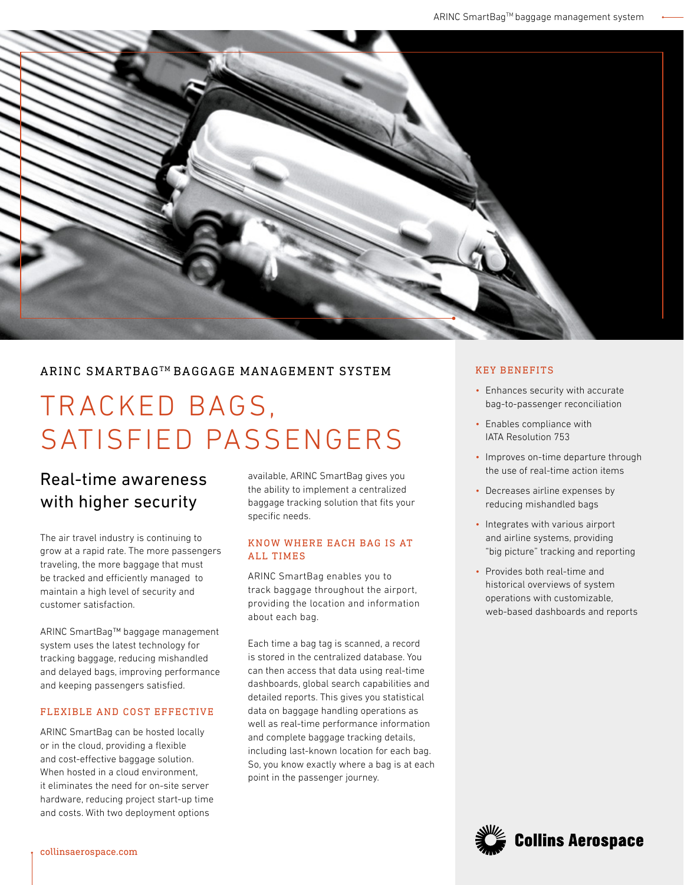

### ARINC SMARTBAGTM BAGGAGE MANAGEMENT SYSTEM

# TRACKED BAGS, SATISFIED PASSENGERS

## Real-time awareness with higher security

The air travel industry is continuing to grow at a rapid rate. The more passengers traveling, the more baggage that must be tracked and efficiently managed to maintain a high level of security and customer satisfaction.

ARINC SmartBag™ baggage management system uses the latest technology for tracking baggage, reducing mishandled and delayed bags, improving performance and keeping passengers satisfied.

#### FLEXIBLE AND COST EFFECTIVE

ARINC SmartBag can be hosted locally or in the cloud, providing a flexible and cost-effective baggage solution. When hosted in a cloud environment, it eliminates the need for on-site server hardware, reducing project start-up time and costs. With two deployment options

available, ARINC SmartBag gives you the ability to implement a centralized baggage tracking solution that fits your specific needs.

#### KNOW WHERE EACH BAG IS AT ALL TIMES

ARINC SmartBag enables you to track baggage throughout the airport, providing the location and information about each bag.

Each time a bag tag is scanned, a record is stored in the centralized database. You can then access that data using real-time dashboards, global search capabilities and detailed reports. This gives you statistical data on baggage handling operations as well as real-time performance information and complete baggage tracking details, including last-known location for each bag. So, you know exactly where a bag is at each point in the passenger journey.

#### KEY BENEFITS

- Enhances security with accurate bag-to-passenger reconciliation
- Enables compliance with IATA Resolution 753
- Improves on-time departure through the use of real-time action items
- Decreases airline expenses by reducing mishandled bags
- Integrates with various airport and airline systems, providing "big picture" tracking and reporting
- Provides both real-time and historical overviews of system operations with customizable, web-based dashboards and reports